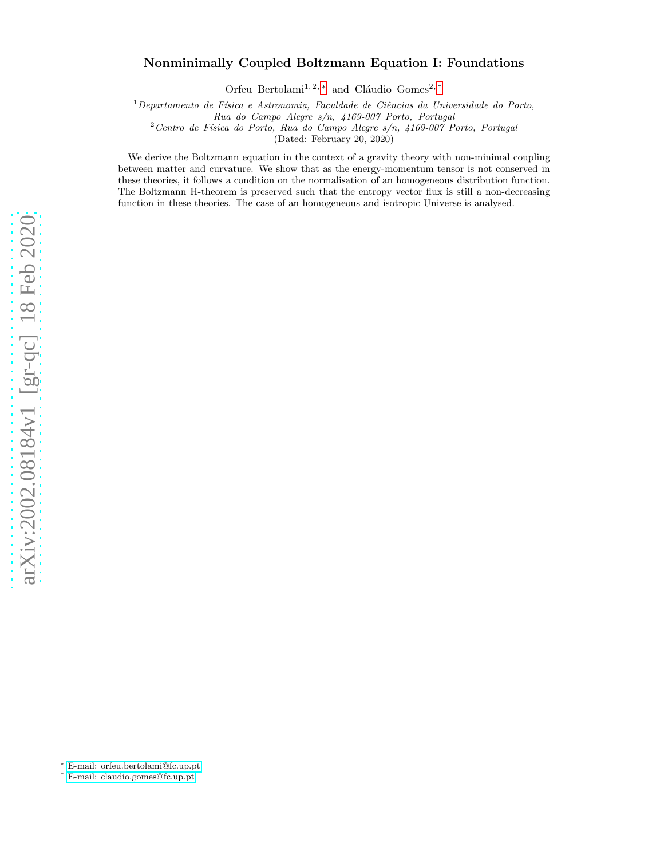# arXiv:2002.08184v1 [gr-qc] 18 Feb 2020 [arXiv:2002.08184v1 \[gr-qc\] 18 Feb 2020](http://arxiv.org/abs/2002.08184v1)

# Nonminimally Coupled Boltzmann Equation I: Foundations

Orfeu Bertolami<sup>1,2,\*</sup> and Cláudio Gomes<sup>2,[†](#page-0-1)</sup>

<sup>1</sup>*Departamento de F´ısica e Astronomia, Faculdade de Ciˆencias da Universidade do Porto,*

*Rua do Campo Alegre s/n, 4169-007 Porto, Portugal*

<sup>2</sup>*Centro de F´ısica do Porto, Rua do Campo Alegre s/n, 4169-007 Porto, Portugal*

(Dated: February 20, 2020)

We derive the Boltzmann equation in the context of a gravity theory with non-minimal coupling between matter and curvature. We show that as the energy-momentum tensor is not conserved in these theories, it follows a condition on the normalisation of an homogeneous distribution function. The Boltzmann H-theorem is preserved such that the entropy vector flux is still a non-decreasing function in these theories. The case of an homogeneous and isotropic Universe is analysed.

<span id="page-0-0"></span><sup>∗</sup> [E-mail: orfeu.bertolami@fc.up.pt](mailto:E-mail: orfeu.bertolami@fc.up.pt)

<span id="page-0-1"></span><sup>†</sup> [E-mail: claudio.gomes@fc.up.pt](mailto:E-mail: claudio.gomes@fc.up.pt)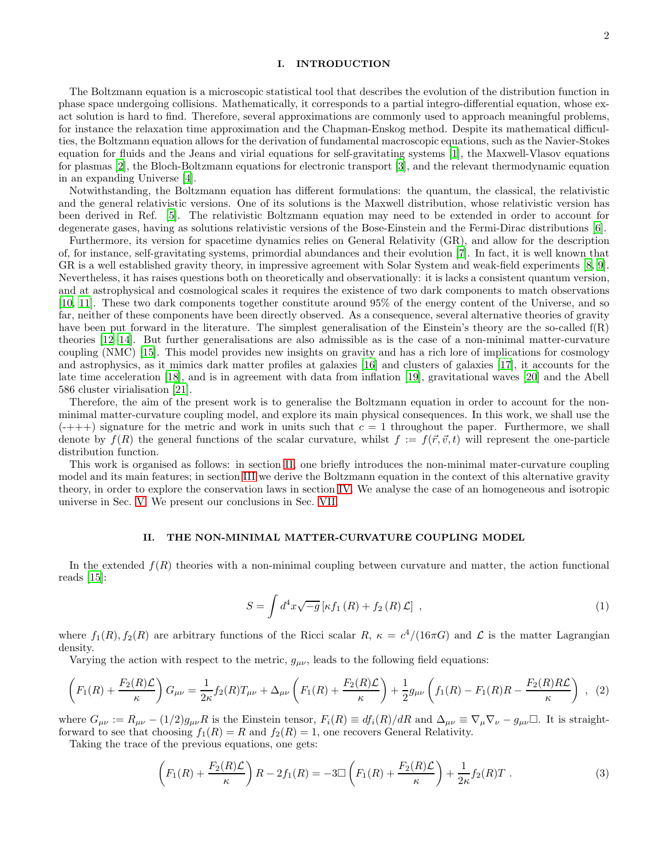## I. INTRODUCTION

The Boltzmann equation is a microscopic statistical tool that describes the evolution of the distribution function in phase space undergoing collisions. Mathematically, it corresponds to a partial integro-differential equation, whose exact solution is hard to find. Therefore, several approximations are commonly used to approach meaningful problems, for instance the relaxation time approximation and the Chapman-Enskog method. Despite its mathematical difficulties, the Boltzmann equation allows for the derivation of fundamental macroscopic equations, such as the Navier-Stokes equation for fluids and the Jeans and virial equations for self-gravitating systems [\[1\]](#page-7-0), the Maxwell-Vlasov equations for plasmas [\[2\]](#page-7-1), the Bloch-Boltzmann equations for electronic transport [\[3](#page-7-2)], and the relevant thermodynamic equation in an expanding Universe [\[4\]](#page-7-3).

Notwithstanding, the Boltzmann equation has different formulations: the quantum, the classical, the relativistic and the general relativistic versions. One of its solutions is the Maxwell distribution, whose relativistic version has been derived in Ref. [\[5\]](#page-7-4). The relativistic Boltzmann equation may need to be extended in order to account for degenerate gases, having as solutions relativistic versions of the Bose-Einstein and the Fermi-Dirac distributions [\[6](#page-7-5)].

Furthermore, its version for spacetime dynamics relies on General Relativity (GR), and allow for the description of, for instance, self-gravitating systems, primordial abundances and their evolution [\[7](#page-7-6)]. In fact, it is well known that GR is a well established gravity theory, in impressive agreement with Solar System and weak-field experiments [\[8,](#page-7-7) [9\]](#page-7-8). Nevertheless, it has raises questions both on theoretically and observationally: it is lacks a consistent quantum version, and at astrophysical and cosmological scales it requires the existence of two dark components to match observations [\[10,](#page-7-9) [11](#page-7-10)]. These two dark components together constitute around 95% of the energy content of the Universe, and so far, neither of these components have been directly observed. As a consequence, several alternative theories of gravity have been put forward in the literature. The simplest generalisation of the Einstein's theory are the so-called f(R) theories [\[12](#page-7-11)[–14\]](#page-7-12). But further generalisations are also admissible as is the case of a non-minimal matter-curvature coupling (NMC) [\[15\]](#page-7-13). This model provides new insights on gravity and has a rich lore of implications for cosmology and astrophysics, as it mimics dark matter profiles at galaxies [\[16\]](#page-7-14) and clusters of galaxies [\[17](#page-7-15)], it accounts for the late time acceleration [\[18\]](#page-7-16), and is in agreement with data from inflation [\[19\]](#page-7-17), gravitational waves [\[20](#page-7-18)] and the Abell 586 cluster virialisation [\[21\]](#page-7-19).

Therefore, the aim of the present work is to generalise the Boltzmann equation in order to account for the nonminimal matter-curvature coupling model, and explore its main physical consequences. In this work, we shall use the  $(-+++)$  signature for the metric and work in units such that  $c = 1$  throughout the paper. Furthermore, we shall denote by  $f(R)$  the general functions of the scalar curvature, whilst  $f := f(\vec{r}, \vec{v}, t)$  will represent the one-particle distribution function.

This work is organised as follows: in section [II,](#page-1-0) one briefly introduces the non-minimal mater-curvature coupling model and its main features; in section [III](#page-2-0) we derive the Boltzmann equation in the context of this alternative gravity theory, in order to explore the conservation laws in section [IV.](#page-3-0) We analyse the case of an homogeneous and isotropic universe in Sec. [V.](#page-5-0) We present our conclusions in Sec. [VII.](#page-6-0)

### <span id="page-1-0"></span>II. THE NON-MINIMAL MATTER-CURVATURE COUPLING MODEL

In the extended  $f(R)$  theories with a non-minimal coupling between curvature and matter, the action functional reads [\[15\]](#page-7-13):

<span id="page-1-2"></span>
$$
S = \int d^4x \sqrt{-g} \left[ \kappa f_1 \left( R \right) + f_2 \left( R \right) \mathcal{L} \right] \,, \tag{1}
$$

where  $f_1(R)$ ,  $f_2(R)$  are arbitrary functions of the Ricci scalar R,  $\kappa = c^4/(16\pi G)$  and  $\mathcal L$  is the matter Lagrangian density.

Varying the action with respect to the metric,  $g_{\mu\nu}$ , leads to the following field equations:

<span id="page-1-1"></span>
$$
\left(F_1(R) + \frac{F_2(R)\mathcal{L}}{\kappa}\right)G_{\mu\nu} = \frac{1}{2\kappa}f_2(R)T_{\mu\nu} + \Delta_{\mu\nu}\left(F_1(R) + \frac{F_2(R)\mathcal{L}}{\kappa}\right) + \frac{1}{2}g_{\mu\nu}\left(f_1(R) - F_1(R)R - \frac{F_2(R)R\mathcal{L}}{\kappa}\right) , \tag{2}
$$

where  $G_{\mu\nu} := R_{\mu\nu} - (1/2)g_{\mu\nu}R$  is the Einstein tensor,  $F_i(R) \equiv df_i(R)/dR$  and  $\Delta_{\mu\nu} \equiv \nabla_{\mu}\nabla_{\nu} - g_{\mu\nu}\Box$ . It is straightforward to see that choosing  $f_1(R) = R$  and  $f_2(R) = 1$ , one recovers General Relativity.

Taking the trace of the previous equations, one gets:

$$
\left(F_1(R) + \frac{F_2(R)\mathcal{L}}{\kappa}\right)R - 2f_1(R) = -3\Box\left(F_1(R) + \frac{F_2(R)\mathcal{L}}{\kappa}\right) + \frac{1}{2\kappa}f_2(R)T\ .
$$
\n(3)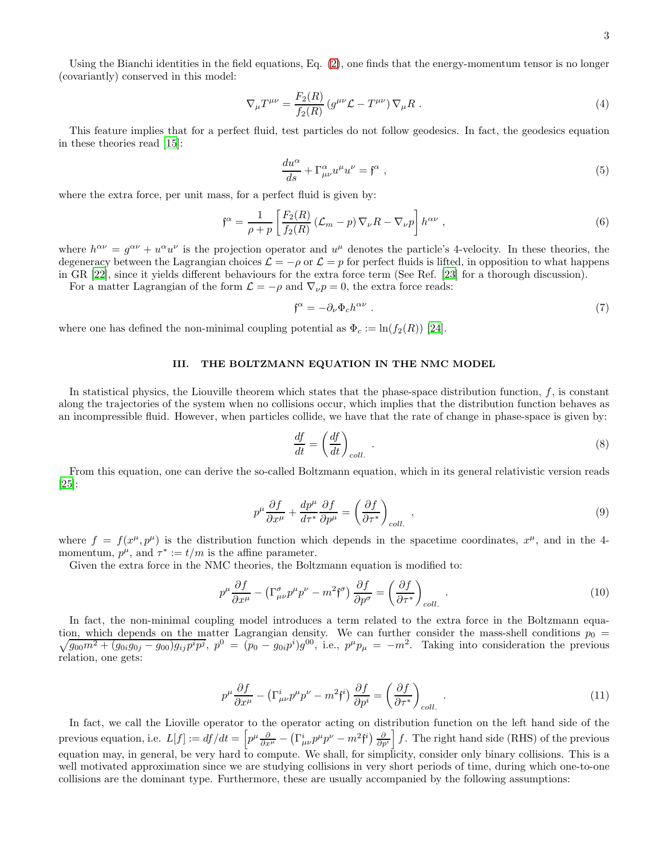3

Using the Bianchi identities in the field equations, Eq. [\(2\)](#page-1-1), one finds that the energy-momentum tensor is no longer (covariantly) conserved in this model:

$$
\nabla_{\mu}T^{\mu\nu} = \frac{F_2(R)}{f_2(R)} \left( g^{\mu\nu} \mathcal{L} - T^{\mu\nu} \right) \nabla_{\mu}R \tag{4}
$$

This feature implies that for a perfect fluid, test particles do not follow geodesics. In fact, the geodesics equation in these theories read [\[15](#page-7-13)]:

$$
\frac{du^{\alpha}}{ds} + \Gamma^{\alpha}_{\mu\nu} u^{\mu} u^{\nu} = \mathfrak{f}^{\alpha} , \qquad (5)
$$

where the extra force, per unit mass, for a perfect fluid is given by:

$$
\mathfrak{f}^{\alpha} = \frac{1}{\rho + p} \left[ \frac{F_2(R)}{f_2(R)} \left( \mathcal{L}_m - p \right) \nabla_{\nu} R - \nabla_{\nu} p \right] h^{\alpha \nu} , \qquad (6)
$$

where  $h^{\alpha\nu} = g^{\alpha\nu} + u^{\alpha}u^{\nu}$  is the projection operator and  $u^{\mu}$  denotes the particle's 4-velocity. In these theories, the degeneracy between the Lagrangian choices  $\mathcal{L} = -\rho$  or  $\mathcal{L} = p$  for perfect fluids is lifted, in opposition to what happens in GR [22], since it yields different behaviours for the extra force term (See Ref. [23] for a thorough discussion).

For a matter Lagrangian of the form  $\mathcal{L} = -\rho$  and  $\nabla_{\nu} p = 0$ , the extra force reads:

$$
\mathfrak{f}^{\alpha} = -\partial_{\nu}\Phi_{c}h^{\alpha\nu} \tag{7}
$$

where one has defined the non-minimal coupling potential as  $\Phi_c := \ln(f_2(R))$  [\[24\]](#page-7-20).

# <span id="page-2-0"></span>III. THE BOLTZMANN EQUATION IN THE NMC MODEL

In statistical physics, the Liouville theorem which states that the phase-space distribution function,  $f$ , is constant along the trajectories of the system when no collisions occur, which implies that the distribution function behaves as an incompressible fluid. However, when particles collide, we have that the rate of change in phase-space is given by:

$$
\frac{df}{dt} = \left(\frac{df}{dt}\right)_{coll.} \tag{8}
$$

From this equation, one can derive the so-called Boltzmann equation, which in its general relativistic version reads [\[25\]](#page-7-21):

$$
p^{\mu} \frac{\partial f}{\partial x^{\mu}} + \frac{dp^{\mu}}{d\tau^*} \frac{\partial f}{\partial p^{\mu}} = \left(\frac{\partial f}{\partial \tau^*}\right)_{coll.} ,
$$
\n(9)

where  $f = f(x^{\mu}, p^{\mu})$  is the distribution function which depends in the spacetime coordinates,  $x^{\mu}$ , and in the 4momentum,  $p^{\mu}$ , and  $\tau^* := t/m$  is the affine parameter.

Given the extra force in the NMC theories, the Boltzmann equation is modified to:

$$
p^{\mu}\frac{\partial f}{\partial x^{\mu}} - \left(\Gamma^{\sigma}_{\mu\nu}p^{\mu}p^{\nu} - m^{2}\mathfrak{f}^{\sigma}\right)\frac{\partial f}{\partial p^{\sigma}} = \left(\frac{\partial f}{\partial \tau^{*}}\right)_{coll.} \tag{10}
$$

In fact, the non-minimal coupling model introduces a term related to the extra force in the Boltzmann equa- $\sqrt{g_{00}m^2 + (g_{0i}g_{0j} - g_{00})g_{ij}p^ip^j}$ ,  $p^0 = (p_0 - g_{0i}p^i)g^{00}$ , i.e.,  $p^{\mu}p_{\mu} = -m^2$ . Taking into consideration the previous tion, which depends on the matter Lagrangian density. We can further consider the mass-shell conditions  $p_0 =$ relation, one gets:

$$
p^{\mu}\frac{\partial f}{\partial x^{\mu}} - \left(\Gamma^{i}_{\mu\nu}p^{\mu}p^{\nu} - m^{2}\mathfrak{f}^{i}\right)\frac{\partial f}{\partial p^{i}} = \left(\frac{\partial f}{\partial \tau^{*}}\right)_{coll.}.
$$
\n(11)

In fact, we call the Lioville operator to the operator acting on distribution function on the left hand side of the previous equation, i.e.  $L[f] := df/dt = \left[ p^{\mu} \frac{\partial}{\partial x^{\mu}} - (\Gamma^i_{\mu\nu} p^{\mu} p^{\nu} - m^2 \mathfrak{f}^i) \frac{\partial}{\partial p^i} \right] f$ . The right hand side (RHS) of the previous equation may, in general, be very hard to compute. We shall, for simplicity, consider only binary collisions. This is a well motivated approximation since we are studying collisions in very short periods of time, during which one-to-one collisions are the dominant type. Furthermore, these are usually accompanied by the following assumptions: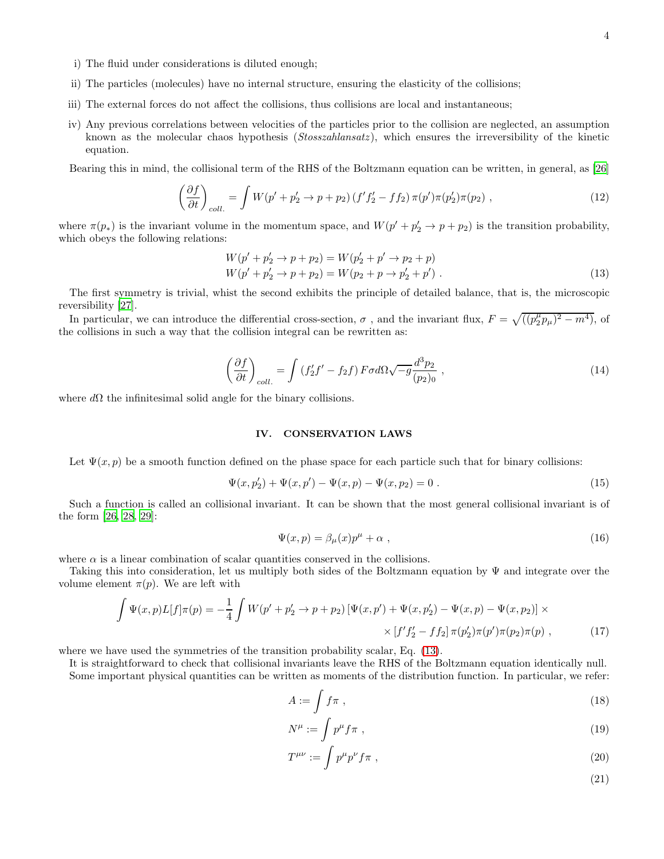ii) The particles (molecules) have no internal structure, ensuring the elasticity of the collisions;

i) The fluid under considerations is diluted enough;

- iii) The external forces do not affect the collisions, thus collisions are local and instantaneous;
- iv) Any previous correlations between velocities of the particles prior to the collision are neglected, an assumption known as the molecular chaos hypothesis (Stosszahlansatz), which ensures the irreversibility of the kinetic equation.

Bearing this in mind, the collisional term of the RHS of the Boltzmann equation can be written, in general, as [\[26](#page-7-22)]

$$
\left(\frac{\partial f}{\partial t}\right)_{coll.} = \int W(p' + p_2' \to p + p_2) \left(f'f_2' - ff_2\right) \pi(p') \pi(p_2') \pi(p_2) ,\qquad (12)
$$

where  $\pi(p_*)$  is the invariant volume in the momentum space, and  $W(p'+p'_2 \rightarrow p+p_2)$  is the transition probability, which obeys the following relations:

<span id="page-3-1"></span>
$$
W(p' + p'_2 \to p + p_2) = W(p'_2 + p' \to p_2 + p) W(p' + p'_2 \to p + p_2) = W(p_2 + p \to p'_2 + p') .
$$
\n(13)

The first symmetry is trivial, whist the second exhibits the principle of detailed balance, that is, the microscopic reversibility [\[27](#page-7-23)].

In particular, we can introduce the differential cross-section,  $\sigma$ , and the invariant flux,  $F = \sqrt{((p_2^{\mu}p_{\mu})^2 - m^4)}$ , of the collisions in such a way that the collision integral can be rewritten as:

$$
\left(\frac{\partial f}{\partial t}\right)_{coll.} = \int \left(f_2' f' - f_2 f\right) F \sigma d\Omega \sqrt{-g} \frac{d^3 p_2}{(p_2)_0} ,\qquad (14)
$$

where  $d\Omega$  the infinitesimal solid angle for the binary collisions.

# <span id="page-3-0"></span>IV. CONSERVATION LAWS

Let  $\Psi(x, p)$  be a smooth function defined on the phase space for each particle such that for binary collisions:

$$
\Psi(x, p'_2) + \Psi(x, p') - \Psi(x, p) - \Psi(x, p_2) = 0.
$$
\n(15)

Such a function is called an collisional invariant. It can be shown that the most general collisional invariant is of the form [\[26,](#page-7-22) [28,](#page-7-24) [29\]](#page-7-25):

$$
\Psi(x,p) = \beta_{\mu}(x)p^{\mu} + \alpha \tag{16}
$$

where  $\alpha$  is a linear combination of scalar quantities conserved in the collisions.

Taking this into consideration, let us multiply both sides of the Boltzmann equation by Ψ and integrate over the volume element  $\pi(p)$ . We are left with

<span id="page-3-2"></span>
$$
\int \Psi(x,p)L[f]\pi(p) = -\frac{1}{4} \int W(p'+p'_2 \to p+p_2) \left[ \Psi(x,p') + \Psi(x,p'_2) - \Psi(x,p) - \Psi(x,p_2) \right] \times \times \left[ f'f'_2 - f f_2 \right] \pi(p'_2) \pi(p') \pi(p_2) \pi(p) , \tag{17}
$$

where we have used the symmetries of the transition probability scalar, Eq.  $(13)$ .

It is straightforward to check that collisional invariants leave the RHS of the Boltzmann equation identically null. Some important physical quantities can be written as moments of the distribution function. In particular, we refer:

$$
A := \int f\pi \tag{18}
$$

$$
N^{\mu} := \int p^{\mu} f \pi \tag{19}
$$

$$
T^{\mu\nu} := \int p^{\mu} p^{\nu} f \pi \tag{20}
$$

4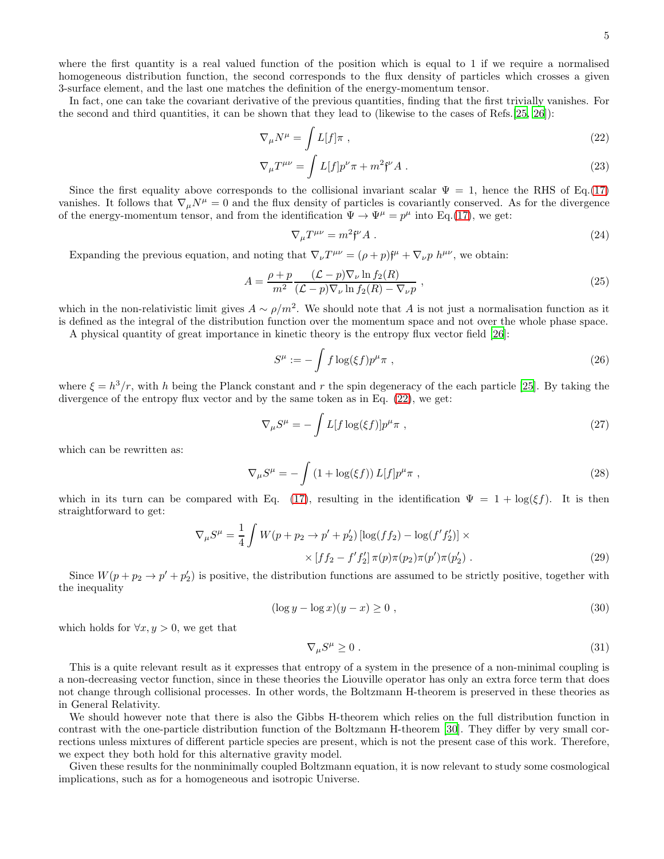where the first quantity is a real valued function of the position which is equal to 1 if we require a normalised homogeneous distribution function, the second corresponds to the flux density of particles which crosses a given 3-surface element, and the last one matches the definition of the energy-momentum tensor.

In fact, one can take the covariant derivative of the previous quantities, finding that the first trivially vanishes. For the second and third quantities, it can be shown that they lead to (likewise to the cases of Refs.[\[25,](#page-7-21) [26](#page-7-22)]):

<span id="page-4-0"></span>
$$
\nabla_{\mu}N^{\mu} = \int L[f]\pi , \qquad (22)
$$

$$
\nabla_{\mu}T^{\mu\nu} = \int L[f]p^{\nu}\pi + m^2\mathfrak{f}^{\nu}A . \qquad (23)
$$

Since the first equality above corresponds to the collisional invariant scalar  $\Psi = 1$ , hence the RHS of Eq.[\(17\)](#page-3-2) vanishes. It follows that  $\nabla_{\mu}N^{\mu}=0$  and the flux density of particles is covariantly conserved. As for the divergence of the energy-momentum tensor, and from the identification  $\Psi \to \Psi^{\mu} = p^{\mu}$  into Eq.[\(17\)](#page-3-2), we get:

$$
\nabla_{\mu}T^{\mu\nu} = m^2 \mathfrak{f}^{\nu} A \tag{24}
$$

Expanding the previous equation, and noting that  $\nabla_{\nu}T^{\mu\nu} = (\rho + p)f^{\mu} + \nabla_{\nu}p h^{\mu\nu}$ , we obtain:

$$
A = \frac{\rho + p}{m^2} \frac{(\mathcal{L} - p)\nabla_\nu \ln f_2(R)}{(\mathcal{L} - p)\nabla_\nu \ln f_2(R) - \nabla_\nu p},
$$
\n(25)

which in the non-relativistic limit gives  $A \sim \rho/m^2$ . We should note that A is not just a normalisation function as it is defined as the integral of the distribution function over the momentum space and not over the whole phase space.

A physical quantity of great importance in kinetic theory is the entropy flux vector field [\[26\]](#page-7-22):

$$
S^{\mu} := -\int f \log(\xi f) p^{\mu} \pi , \qquad (26)
$$

where  $\xi = h^3/r$ , with h being the Planck constant and r the spin degeneracy of the each particle [\[25\]](#page-7-21). By taking the divergence of the entropy flux vector and by the same token as in Eq. [\(22\)](#page-4-0), we get:

$$
\nabla_{\mu}S^{\mu} = -\int L[f \log(\xi f)] p^{\mu} \pi , \qquad (27)
$$

which can be rewritten as:

$$
\nabla_{\mu}S^{\mu} = -\int \left(1 + \log(\xi f)\right)L[f]p^{\mu}\pi\;, \tag{28}
$$

which in its turn can be compared with Eq. [\(17\)](#page-3-2), resulting in the identification  $\Psi = 1 + \log(\xi f)$ . It is then straightforward to get:

$$
\nabla_{\mu}S^{\mu} = \frac{1}{4} \int W(p + p_2 \to p' + p'_2) \left[ \log(f f_2) - \log(f' f'_2) \right] \times \times \left[ f f_2 - f' f'_2 \right] \pi(p) \pi(p_2) \pi(p') \pi(p'_2) . \tag{29}
$$

Since  $W(p + p_2 \rightarrow p' + p'_2)$  is positive, the distribution functions are assumed to be strictly positive, together with the inequality

$$
(\log y - \log x)(y - x) \ge 0 , \qquad (30)
$$

which holds for  $\forall x, y > 0$ , we get that

$$
\nabla_{\mu} S^{\mu} \ge 0 \tag{31}
$$

This is a quite relevant result as it expresses that entropy of a system in the presence of a non-minimal coupling is a non-decreasing vector function, since in these theories the Liouville operator has only an extra force term that does not change through collisional processes. In other words, the Boltzmann H-theorem is preserved in these theories as in General Relativity.

We should however note that there is also the Gibbs H-theorem which relies on the full distribution function in contrast with the one-particle distribution function of the Boltzmann H-theorem [\[30\]](#page-7-26). They differ by very small corrections unless mixtures of different particle species are present, which is not the present case of this work. Therefore, we expect they both hold for this alternative gravity model.

Given these results for the nonminimally coupled Boltzmann equation, it is now relevant to study some cosmological implications, such as for a homogeneous and isotropic Universe.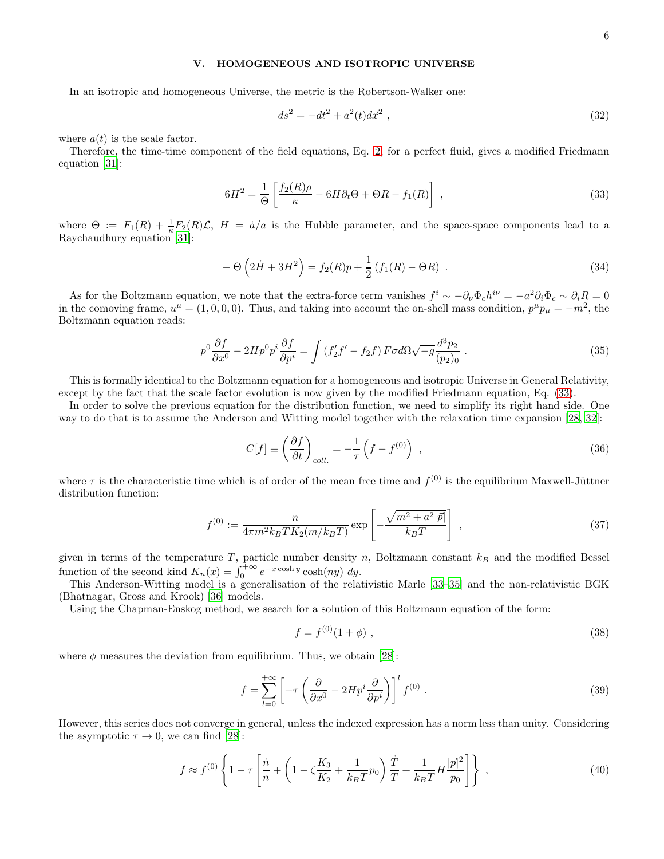# <span id="page-5-0"></span>V. HOMOGENEOUS AND ISOTROPIC UNIVERSE

In an isotropic and homogeneous Universe, the metric is the Robertson-Walker one:

$$
ds^2 = -dt^2 + a^2(t)d\vec{x}^2 \t\t(32)
$$

where  $a(t)$  is the scale factor.

Therefore, the time-time component of the field equations, Eq. [2,](#page-1-1) for a perfect fluid, gives a modified Friedmann equation [31]:

<span id="page-5-1"></span>
$$
6H^2 = \frac{1}{\Theta} \left[ \frac{f_2(R)\rho}{\kappa} - 6H\partial_t\Theta + \Theta R - f_1(R) \right] \tag{33}
$$

where  $\Theta := F_1(R) + \frac{1}{\kappa} F_2(R) \mathcal{L}$ ,  $H = \dot{a}/a$  is the Hubble parameter, and the space-space components lead to a Raychaudhury equation [31]:

$$
- \Theta \left( 2\dot{H} + 3H^2 \right) = f_2(R)p + \frac{1}{2} \left( f_1(R) - \Theta R \right) \,. \tag{34}
$$

As for the Boltzmann equation, we note that the extra-force term vanishes  $f^i \sim -\partial_\nu \Phi_c h^{i\nu} = -a^2 \partial_i \Phi_c \sim \partial_i R = 0$ in the comoving frame,  $u^{\mu} = (1, 0, 0, 0)$ . Thus, and taking into account the on-shell mass condition,  $p^{\mu}p_{\mu} = -m^2$ , the Boltzmann equation reads:

$$
p^{0}\frac{\partial f}{\partial x^{0}} - 2Hp^{0}p^{i}\frac{\partial f}{\partial p^{i}} = \int \left(f'_{2}f' - f_{2}f\right)F\sigma d\Omega\sqrt{-g}\frac{d^{3}p_{2}}{(p_{2})_{0}}\tag{35}
$$

This is formally identical to the Boltzmann equation for a homogeneous and isotropic Universe in General Relativity, except by the fact that the scale factor evolution is now given by the modified Friedmann equation, Eq. [\(33\)](#page-5-1).

In order to solve the previous equation for the distribution function, we need to simplify its right hand side. One way to do that is to assume the Anderson and Witting model together with the relaxation time expansion [\[28](#page-7-24), [32](#page-7-27)]:

$$
C[f] \equiv \left(\frac{\partial f}{\partial t}\right)_{coll.} = -\frac{1}{\tau} \left(f - f^{(0)}\right) \;, \tag{36}
$$

where  $\tau$  is the characteristic time which is of order of the mean free time and  $f^{(0)}$  is the equilibrium Maxwell-Jüttner distribution function:

$$
f^{(0)} := \frac{n}{4\pi m^2 k_B T K_2(m/k_B T)} \exp\left[-\frac{\sqrt{m^2 + a^2 |\vec{p}|}}{k_B T}\right] \,,\tag{37}
$$

given in terms of the temperature T, particle number density n, Boltzmann constant  $k_B$  and the modified Bessel function of the second kind  $K_n(x) = \int_0^{+\infty} e^{-x \cosh y} \cosh(ny) dy$ .

This Anderson-Witting model is a generalisation of the relativistic Marle [\[33](#page-7-28)[–35](#page-7-29)] and the non-relativistic BGK (Bhatnagar, Gross and Krook) [\[36](#page-7-30)] models.

Using the Chapman-Enskog method, we search for a solution of this Boltzmann equation of the form:

$$
f = f^{(0)}(1+\phi) \tag{38}
$$

where  $\phi$  measures the deviation from equilibrium. Thus, we obtain [\[28](#page-7-24)]:

$$
f = \sum_{l=0}^{+\infty} \left[ -\tau \left( \frac{\partial}{\partial x^0} - 2H p^i \frac{\partial}{\partial p^i} \right) \right]^l f^{(0)} \tag{39}
$$

However, this series does not converge in general, unless the indexed expression has a norm less than unity. Considering the asymptotic  $\tau \to 0$ , we can find [\[28](#page-7-24)]:

$$
f \approx f^{(0)} \left\{ 1 - \tau \left[ \frac{\dot{n}}{n} + \left( 1 - \zeta \frac{K_3}{K_2} + \frac{1}{k_B T} p_0 \right) \frac{\dot{T}}{T} + \frac{1}{k_B T} H \frac{|\vec{p}|^2}{p_0} \right] \right\} ,
$$
 (40)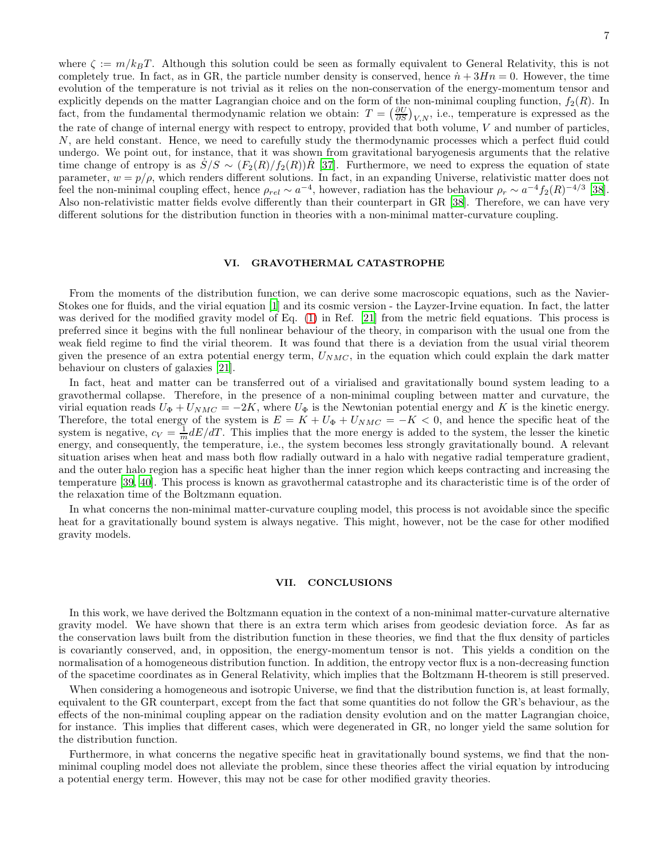where  $\zeta := m/k_BT$ . Although this solution could be seen as formally equivalent to General Relativity, this is not completely true. In fact, as in GR, the particle number density is conserved, hence  $\dot{n} + 3Hn = 0$ . However, the time evolution of the temperature is not trivial as it relies on the non-conservation of the energy-momentum tensor and explicitly depends on the matter Lagrangian choice and on the form of the non-minimal coupling function,  $f_2(R)$ . In fact, from the fundamental thermodynamic relation we obtain:  $T = \left(\frac{\partial U}{\partial S}\right)_{V,N}$ , i.e., temperature is expressed as the the rate of change of internal energy with respect to entropy, provided that both volume,  $V$  and number of particles, N, are held constant. Hence, we need to carefully study the thermodynamic processes which a perfect fluid could undergo. We point out, for instance, that it was shown from gravitational baryogenesis arguments that the relative time change of entropy is as  $S/S \sim (F_2(R)/f_2(R))R$  [\[37](#page-7-31)]. Furthermore, we need to express the equation of state parameter,  $w = p/\rho$ , which renders different solutions. In fact, in an expanding Universe, relativistic matter does not feel the non-minimal coupling effect, hence  $\rho_{rel} \sim a^{-4}$ , however, radiation has the behaviour  $\rho_r \sim a^{-4} f_2(R)^{-4/3}$  [\[38\]](#page-8-0). Also non-relativistic matter fields evolve differently than their counterpart in GR [\[38\]](#page-8-0). Therefore, we can have very different solutions for the distribution function in theories with a non-minimal matter-curvature coupling.

### VI. GRAVOTHERMAL CATASTROPHE

From the moments of the distribution function, we can derive some macroscopic equations, such as the Navier-Stokes one for fluids, and the virial equation [\[1\]](#page-7-0) and its cosmic version - the Layzer-Irvine equation. In fact, the latter was derived for the modified gravity model of Eq. [\(1\)](#page-1-2) in Ref. [\[21](#page-7-19)] from the metric field equations. This process is preferred since it begins with the full nonlinear behaviour of the theory, in comparison with the usual one from the weak field regime to find the virial theorem. It was found that there is a deviation from the usual virial theorem given the presence of an extra potential energy term,  $U_{NMC}$ , in the equation which could explain the dark matter behaviour on clusters of galaxies [\[21\]](#page-7-19).

In fact, heat and matter can be transferred out of a virialised and gravitationally bound system leading to a gravothermal collapse. Therefore, in the presence of a non-minimal coupling between matter and curvature, the virial equation reads  $U_{\Phi} + U_{NMC} = -2K$ , where  $U_{\Phi}$  is the Newtonian potential energy and K is the kinetic energy. Therefore, the total energy of the system is  $E = K + U_{\Phi} + U_{NMC} = -K < 0$ , and hence the specific heat of the system is negative,  $c_V = \frac{1}{m} dE/dT$ . This implies that the more energy is added to the system, the lesser the kinetic energy, and consequently, the temperature, i.e., the system becomes less strongly gravitationally bound. A relevant situation arises when heat and mass both flow radially outward in a halo with negative radial temperature gradient, and the outer halo region has a specific heat higher than the inner region which keeps contracting and increasing the temperature [\[39](#page-8-1), [40](#page-8-2)]. This process is known as gravothermal catastrophe and its characteristic time is of the order of the relaxation time of the Boltzmann equation.

In what concerns the non-minimal matter-curvature coupling model, this process is not avoidable since the specific heat for a gravitationally bound system is always negative. This might, however, not be the case for other modified gravity models.

## <span id="page-6-0"></span>VII. CONCLUSIONS

In this work, we have derived the Boltzmann equation in the context of a non-minimal matter-curvature alternative gravity model. We have shown that there is an extra term which arises from geodesic deviation force. As far as the conservation laws built from the distribution function in these theories, we find that the flux density of particles is covariantly conserved, and, in opposition, the energy-momentum tensor is not. This yields a condition on the normalisation of a homogeneous distribution function. In addition, the entropy vector flux is a non-decreasing function of the spacetime coordinates as in General Relativity, which implies that the Boltzmann H-theorem is still preserved.

When considering a homogeneous and isotropic Universe, we find that the distribution function is, at least formally, equivalent to the GR counterpart, except from the fact that some quantities do not follow the GR's behaviour, as the effects of the non-minimal coupling appear on the radiation density evolution and on the matter Lagrangian choice, for instance. This implies that different cases, which were degenerated in GR, no longer yield the same solution for the distribution function.

Furthermore, in what concerns the negative specific heat in gravitationally bound systems, we find that the nonminimal coupling model does not alleviate the problem, since these theories affect the virial equation by introducing a potential energy term. However, this may not be case for other modified gravity theories.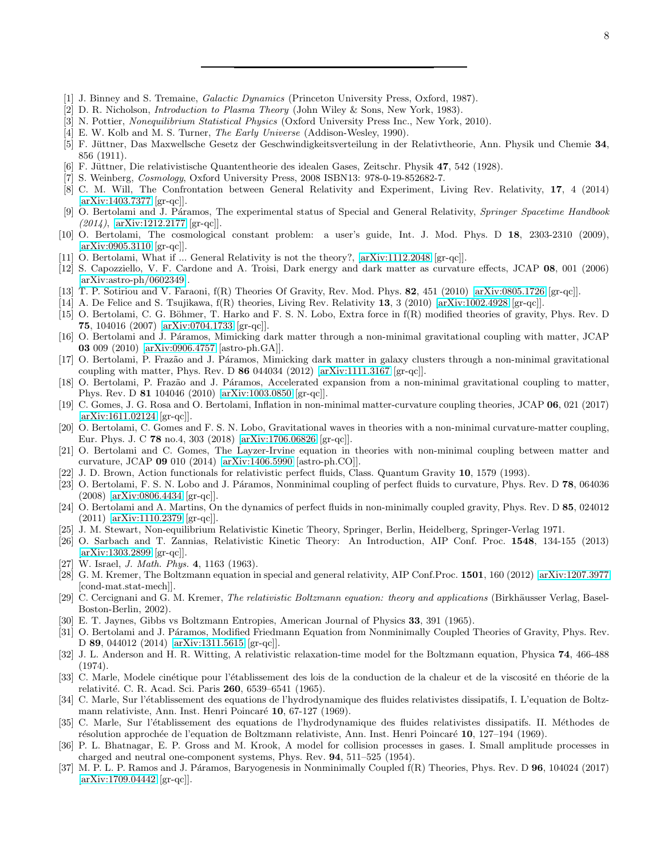- <span id="page-7-0"></span>[1] J. Binney and S. Tremaine, *Galactic Dynamics* (Princeton University Press, Oxford, 1987).
- <span id="page-7-1"></span>[2] D. R. Nicholson, *Introduction to Plasma Theory* (John Wiley & Sons, New York, 1983).
- <span id="page-7-2"></span>[3] N. Pottier, *Nonequilibrium Statistical Physics* (Oxford University Press Inc., New York, 2010).
- <span id="page-7-3"></span>[4] E. W. Kolb and M. S. Turner, *The Early Universe* (Addison-Wesley, 1990).
- <span id="page-7-4"></span>[5] F. Jüttner, Das Maxwellsche Gesetz der Geschwindigkeitsverteilung in der Relativtheorie, Ann. Physik und Chemie 34, 856 (1911).
- <span id="page-7-5"></span>[6] F. Jüttner, Die relativistische Quantentheorie des idealen Gases, Zeitschr. Physik 47, 542 (1928).
- <span id="page-7-6"></span>[7] S. Weinberg, *Cosmology*, Oxford University Press, 2008 ISBN13: 978-0-19-852682-7.
- <span id="page-7-7"></span>[8] C. M. Will, The Confrontation between General Relativity and Experiment, Living Rev. Relativity, 17, 4 (2014) [\[arXiv:1403.7377](http://arxiv.org/abs/1403.7377) [gr-qc]].
- <span id="page-7-8"></span>[9] O. Bertolami and J. P´aramos, The experimental status of Special and General Relativity, *Springer Spacetime Handbook (2014)*, [\[arXiv:1212.2177](http://arxiv.org/abs/1212.2177) [gr-qc]].
- <span id="page-7-9"></span>[10] O. Bertolami, The cosmological constant problem: a user's guide, Int. J. Mod. Phys. D 18, 2303-2310 (2009), [\[arXiv:0905.3110](http://arxiv.org/abs/0905.3110) [gr-qc]].
- <span id="page-7-10"></span>[11] O. Bertolami, What if ... General Relativity is not the theory?, [\[arXiv:1112.2048](http://arxiv.org/abs/1112.2048) [gr-qc]].
- <span id="page-7-11"></span>[12] S. Capozziello, V. F. Cardone and A. Troisi, Dark energy and dark matter as curvature effects, JCAP 08, 001 (2006) [\[arXiv:astro-ph/0602349\]](http://arxiv.org/abs/astro-ph/0602349).
- [13] T. P. Sotiriou and V. Faraoni, f(R) Theories Of Gravity, Rev. Mod. Phys. 82, 451 (2010) [\[arXiv:0805.1726](http://arxiv.org/abs/0805.1726) [gr-qc]].
- <span id="page-7-12"></span>[14] A. De Felice and S. Tsujikawa, f(R) theories, Living Rev. Relativity 13, 3 (2010) [\[arXiv:1002.4928](http://arxiv.org/abs/1002.4928) [gr-qc]].
- <span id="page-7-13"></span>[15] O. Bertolami, C. G. Böhmer, T. Harko and F. S. N. Lobo, Extra force in  $f(R)$  modified theories of gravity, Phys. Rev. D 75, 104016 (2007) [\[arXiv:0704.1733](http://arxiv.org/abs/0704.1733) [gr-qc]].
- <span id="page-7-14"></span>[16] O. Bertolami and J. Páramos, Mimicking dark matter through a non-minimal gravitational coupling with matter, JCAP 03 009 (2010) [\[arXiv:0906.4757](http://arxiv.org/abs/0906.4757) [astro-ph.GA]].
- <span id="page-7-15"></span>[17] O. Bertolami, P. Frazão and J. Páramos, Mimicking dark matter in galaxy clusters through a non-minimal gravitational coupling with matter, Phys. Rev. D  $86\,044034\,$  (2012) [\[arXiv:1111.3167](http://arxiv.org/abs/1111.3167) [gr-qc]].
- <span id="page-7-16"></span>[18] O. Bertolami, P. Frazão and J. Páramos, Accelerated expansion from a non-minimal gravitational coupling to matter, Phys. Rev. D 81 104046 (2010) [\[arXiv:1003.0850](http://arxiv.org/abs/1003.0850) [gr-qc]].
- <span id="page-7-17"></span>[19] C. Gomes, J. G. Rosa and O. Bertolami, Inflation in non-minimal matter-curvature coupling theories, JCAP 06, 021 (2017) [\[arXiv:1611.02124](http://arxiv.org/abs/1611.02124) [gr-qc]].
- <span id="page-7-18"></span>[20] O. Bertolami, C. Gomes and F. S. N. Lobo, Gravitational waves in theories with a non-minimal curvature-matter coupling, Eur. Phys. J. C 78 no.4, 303 (2018) [\[arXiv:1706.06826](http://arxiv.org/abs/1706.06826) [gr-qc]].
- <span id="page-7-19"></span>[21] O. Bertolami and C. Gomes, The Layzer-Irvine equation in theories with non-minimal coupling between matter and curvature, JCAP 09 010 (2014) [\[arXiv:1406.5990](http://arxiv.org/abs/1406.5990) [astro-ph.CO]].
- [22] J. D. Brown, Action functionals for relativistic perfect fluids, Class. Quantum Gravity 10, 1579 (1993).
- [23] O. Bertolami, F. S. N. Lobo and J. Páramos, Nonminimal coupling of perfect fluids to curvature, Phys. Rev. D 78, 064036 (2008) [\[arXiv:0806.4434](http://arxiv.org/abs/0806.4434) [gr-qc]].
- <span id="page-7-20"></span>[24] O. Bertolami and A. Martins, On the dynamics of perfect fluids in non-minimally coupled gravity, Phys. Rev. D 85, 024012 (2011) [\[arXiv:1110.2379](http://arxiv.org/abs/1110.2379) [gr-qc]].
- <span id="page-7-21"></span>[25] J. M. Stewart, Non-equilibrium Relativistic Kinetic Theory, Springer, Berlin, Heidelberg, Springer-Verlag 1971.
- <span id="page-7-22"></span>[26] O. Sarbach and T. Zannias, Relativistic Kinetic Theory: An Introduction, AIP Conf. Proc. 1548, 134-155 (2013) [\[arXiv:1303.2899](http://arxiv.org/abs/1303.2899) [gr-qc]].
- <span id="page-7-23"></span>[27] W. Israel, *J. Math. Phys.* 4, 1163 (1963).
- <span id="page-7-24"></span>[28] G. M. Kremer, The Boltzmann equation in special and general relativity, AIP Conf.Proc. 1501, 160 (2012) [\[arXiv:1207.3977](http://arxiv.org/abs/1207.3977) [cond-mat.stat-mech]].
- <span id="page-7-25"></span>[29] C. Cercignani and G. M. Kremer, *The relativistic Boltzmann equation: theory and applications* (Birkhäusser Verlag, Basel-Boston-Berlin, 2002).
- <span id="page-7-26"></span>[30] E. T. Jaynes, Gibbs vs Boltzmann Entropies, American Journal of Physics 33, 391 (1965).
- [31] O. Bertolami and J. Páramos, Modified Friedmann Equation from Nonminimally Coupled Theories of Gravity, Phys. Rev. D 89, 044012 (2014) [\[arXiv:1311.5615](http://arxiv.org/abs/1311.5615) [gr-qc]].
- <span id="page-7-27"></span>[32] J. L. Anderson and H. R. Witting, A relativistic relaxation-time model for the Boltzmann equation, Physica 74, 466-488 (1974).
- <span id="page-7-28"></span>[33] C. Marle, Modele cinétique pour l'établissement des lois de la conduction de la chaleur et de la viscosité en théorie de la relativité. C. R. Acad. Sci. Paris 260, 6539–6541 (1965).
- [34] C. Marle, Sur l'établissement des equations de l'hydrodynamique des fluides relativistes dissipatifs, I. L'equation de Boltzmann relativiste, Ann. Inst. Henri Poincaré 10, 67-127 (1969).
- <span id="page-7-29"></span>[35] C. Marle, Sur l'établissement des equations de l'hydrodynamique des fluides relativistes dissipatifs. II. Méthodes de résolution approchée de l'equation de Boltzmann relativiste, Ann. Inst. Henri Poincaré 10, 127–194 (1969).
- <span id="page-7-30"></span>[36] P. L. Bhatnagar, E. P. Gross and M. Krook, A model for collision processes in gases. I. Small amplitude processes in charged and neutral one-component systems, Phys. Rev. 94, 511–525 (1954).
- <span id="page-7-31"></span>[37] M. P. L. P. Ramos and J. Páramos, Baryogenesis in Nonminimally Coupled  $f(R)$  Theories, Phys. Rev. D 96, 104024 (2017) [\[arXiv:1709.04442](http://arxiv.org/abs/1709.04442) [gr-qc]].